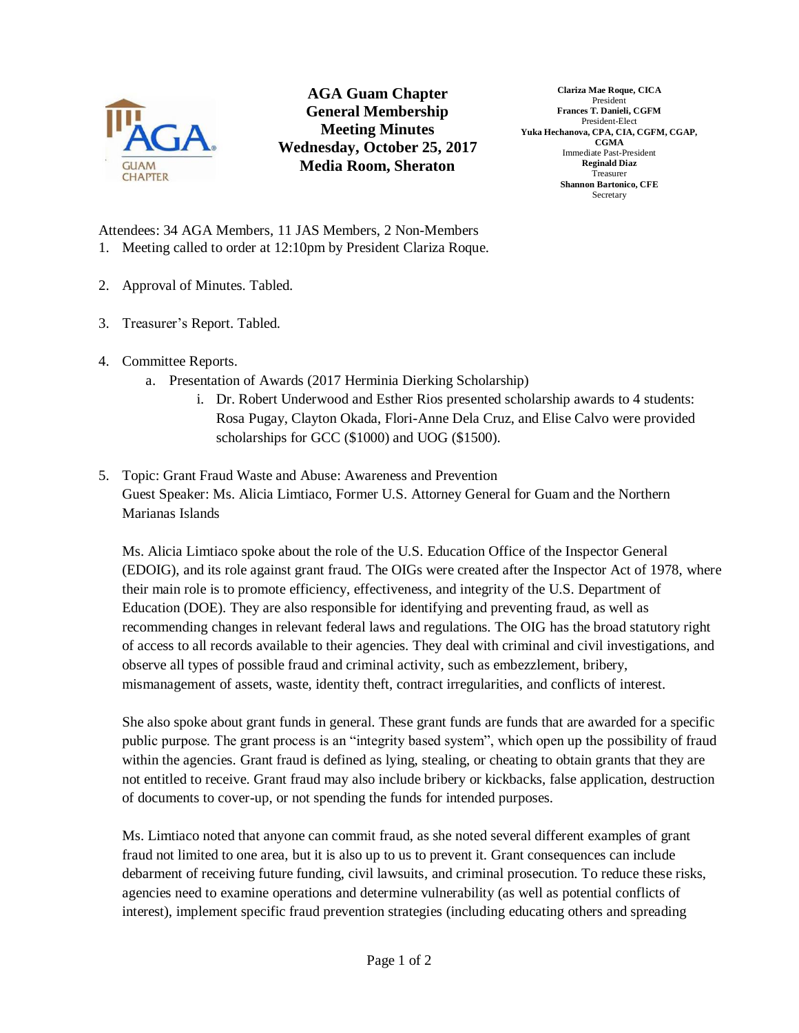

**AGA Guam Chapter General Membership Meeting Minutes Wednesday, October 25, 2017 Media Room, Sheraton**

**Clariza Mae Roque, CICA** President **Frances T. Danieli, CGFM** President-Elect **Yuka Hechanova, CPA, CIA, CGFM, CGAP, CGMA** Immediate Past-President **Reginald Diaz** Treasurer **Shannon Bartonico, CFE** Secretary

Attendees: 34 AGA Members, 11 JAS Members, 2 Non-Members 1. Meeting called to order at 12:10pm by President Clariza Roque.

- 2. Approval of Minutes. Tabled.
- 3. Treasurer's Report. Tabled.
- 4. Committee Reports.
	- a. Presentation of Awards (2017 Herminia Dierking Scholarship)
		- i. Dr. Robert Underwood and Esther Rios presented scholarship awards to 4 students: Rosa Pugay, Clayton Okada, Flori-Anne Dela Cruz, and Elise Calvo were provided scholarships for GCC (\$1000) and UOG (\$1500).
- 5. Topic: Grant Fraud Waste and Abuse: Awareness and Prevention Guest Speaker: Ms. Alicia Limtiaco, Former U.S. Attorney General for Guam and the Northern Marianas Islands

Ms. Alicia Limtiaco spoke about the role of the U.S. Education Office of the Inspector General (EDOIG), and its role against grant fraud. The OIGs were created after the Inspector Act of 1978, where their main role is to promote efficiency, effectiveness, and integrity of the U.S. Department of Education (DOE). They are also responsible for identifying and preventing fraud, as well as recommending changes in relevant federal laws and regulations. The OIG has the broad statutory right of access to all records available to their agencies. They deal with criminal and civil investigations, and observe all types of possible fraud and criminal activity, such as embezzlement, bribery, mismanagement of assets, waste, identity theft, contract irregularities, and conflicts of interest.

She also spoke about grant funds in general. These grant funds are funds that are awarded for a specific public purpose. The grant process is an "integrity based system", which open up the possibility of fraud within the agencies. Grant fraud is defined as lying, stealing, or cheating to obtain grants that they are not entitled to receive. Grant fraud may also include bribery or kickbacks, false application, destruction of documents to cover-up, or not spending the funds for intended purposes.

Ms. Limtiaco noted that anyone can commit fraud, as she noted several different examples of grant fraud not limited to one area, but it is also up to us to prevent it. Grant consequences can include debarment of receiving future funding, civil lawsuits, and criminal prosecution. To reduce these risks, agencies need to examine operations and determine vulnerability (as well as potential conflicts of interest), implement specific fraud prevention strategies (including educating others and spreading